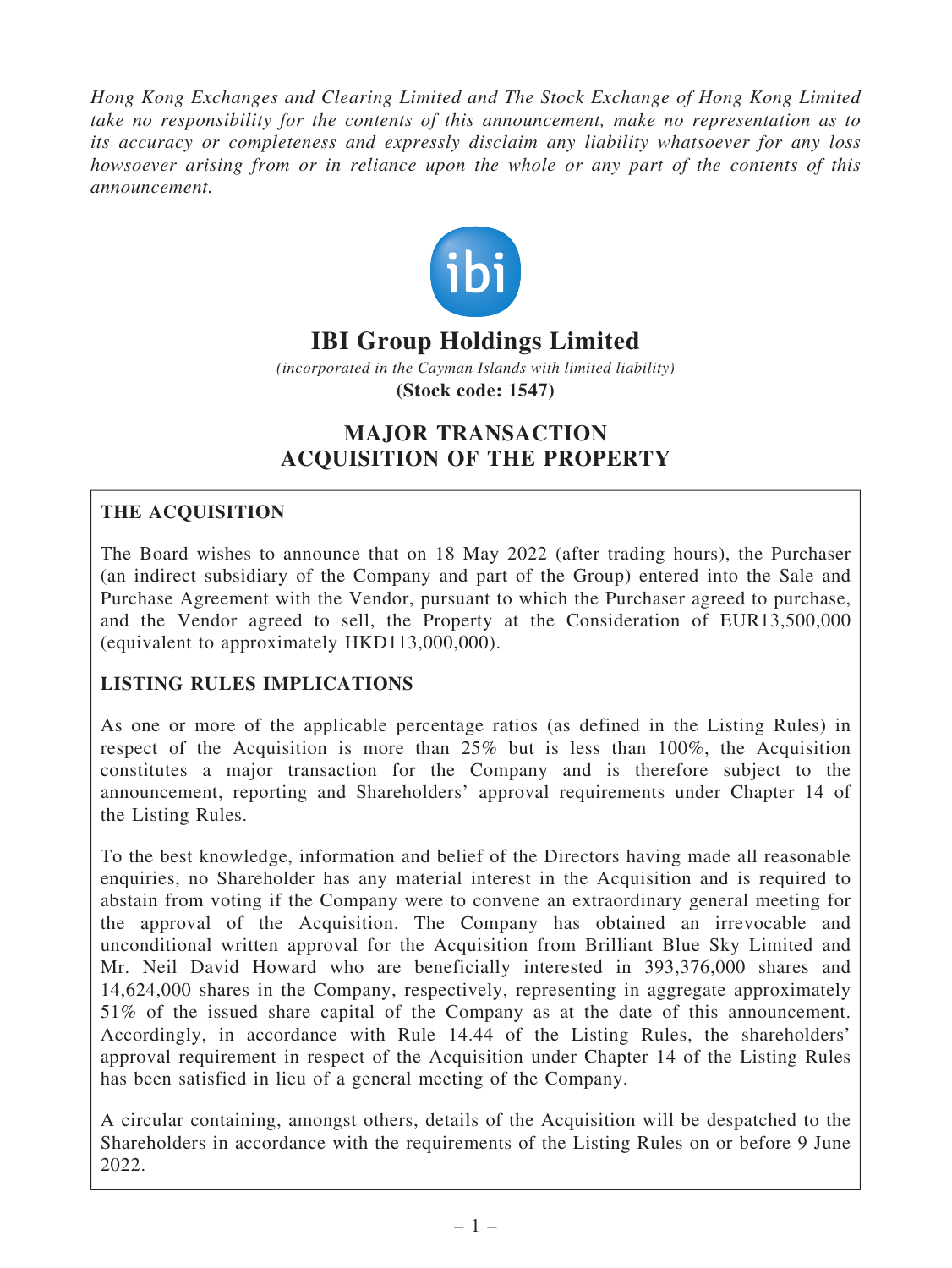Hong Kong Exchanges and Clearing Limited and The Stock Exchange of Hong Kong Limited take no responsibility for the contents of this announcement, make no representation as to its accuracy or completeness and expressly disclaim any liability whatsoever for any loss howsoever arising from or in reliance upon the whole or any part of the contents of this announcement.



# **IBI Group Holdings Limited**

*(incorporated in the Cayman Islands with limited liability)* **(Stock code: 1547)**

## MAJOR TRANSACTION ACQUISITION OF THE PROPERTY

## THE ACQUISITION

The Board wishes to announce that on 18 May 2022 (after trading hours), the Purchaser (an indirect subsidiary of the Company and part of the Group) entered into the Sale and Purchase Agreement with the Vendor, pursuant to which the Purchaser agreed to purchase, and the Vendor agreed to sell, the Property at the Consideration of EUR13,500,000 (equivalent to approximately HKD113,000,000).

## LISTING RULES IMPLICATIONS

As one or more of the applicable percentage ratios (as defined in the Listing Rules) in respect of the Acquisition is more than 25% but is less than 100%, the Acquisition constitutes a major transaction for the Company and is therefore subject to the announcement, reporting and Shareholders' approval requirements under Chapter 14 of the Listing Rules.

To the best knowledge, information and belief of the Directors having made all reasonable enquiries, no Shareholder has any material interest in the Acquisition and is required to abstain from voting if the Company were to convene an extraordinary general meeting for the approval of the Acquisition. The Company has obtained an irrevocable and unconditional written approval for the Acquisition from Brilliant Blue Sky Limited and Mr. Neil David Howard who are beneficially interested in 393,376,000 shares and 14,624,000 shares in the Company, respectively, representing in aggregate approximately 51% of the issued share capital of the Company as at the date of this announcement. Accordingly, in accordance with Rule 14.44 of the Listing Rules, the shareholders' approval requirement in respect of the Acquisition under Chapter 14 of the Listing Rules has been satisfied in lieu of a general meeting of the Company.

A circular containing, amongst others, details of the Acquisition will be despatched to the Shareholders in accordance with the requirements of the Listing Rules on or before 9 June 2022.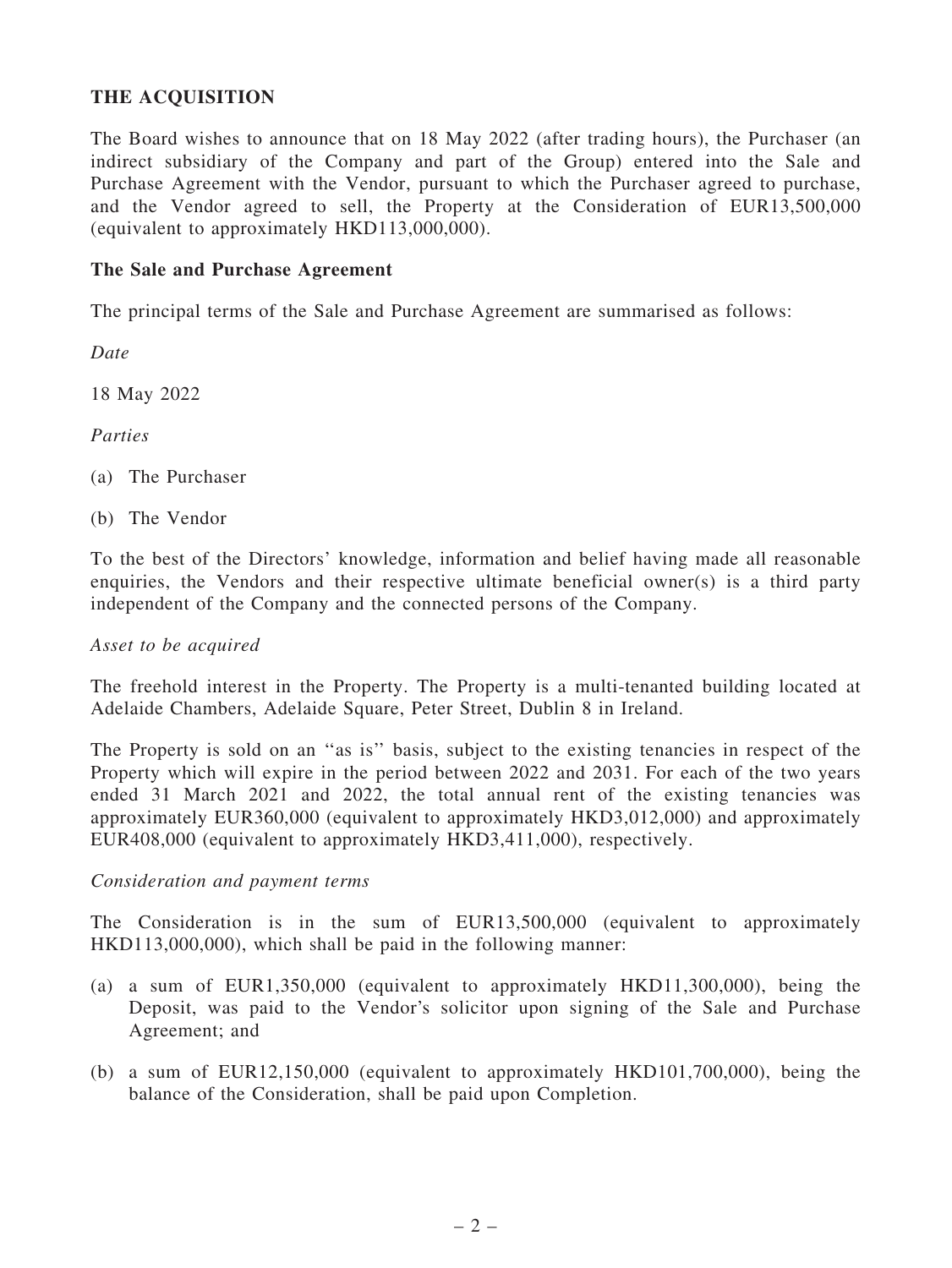### THE ACQUISITION

The Board wishes to announce that on 18 May 2022 (after trading hours), the Purchaser (an indirect subsidiary of the Company and part of the Group) entered into the Sale and Purchase Agreement with the Vendor, pursuant to which the Purchaser agreed to purchase, and the Vendor agreed to sell, the Property at the Consideration of EUR13,500,000 (equivalent to approximately HKD113,000,000).

#### The Sale and Purchase Agreement

The principal terms of the Sale and Purchase Agreement are summarised as follows:

Date

18 May 2022

Parties

(a) The Purchaser

(b) The Vendor

To the best of the Directors' knowledge, information and belief having made all reasonable enquiries, the Vendors and their respective ultimate beneficial owner(s) is a third party independent of the Company and the connected persons of the Company.

#### Asset to be acquired

The freehold interest in the Property. The Property is a multi-tenanted building located at Adelaide Chambers, Adelaide Square, Peter Street, Dublin 8 in Ireland.

The Property is sold on an ''as is'' basis, subject to the existing tenancies in respect of the Property which will expire in the period between 2022 and 2031. For each of the two years ended 31 March 2021 and 2022, the total annual rent of the existing tenancies was approximately EUR360,000 (equivalent to approximately HKD3,012,000) and approximately EUR408,000 (equivalent to approximately HKD3,411,000), respectively.

#### Consideration and payment terms

The Consideration is in the sum of EUR13,500,000 (equivalent to approximately HKD113,000,000), which shall be paid in the following manner:

- (a) a sum of EUR1,350,000 (equivalent to approximately HKD11,300,000), being the Deposit, was paid to the Vendor's solicitor upon signing of the Sale and Purchase Agreement; and
- (b) a sum of EUR12,150,000 (equivalent to approximately HKD101,700,000), being the balance of the Consideration, shall be paid upon Completion.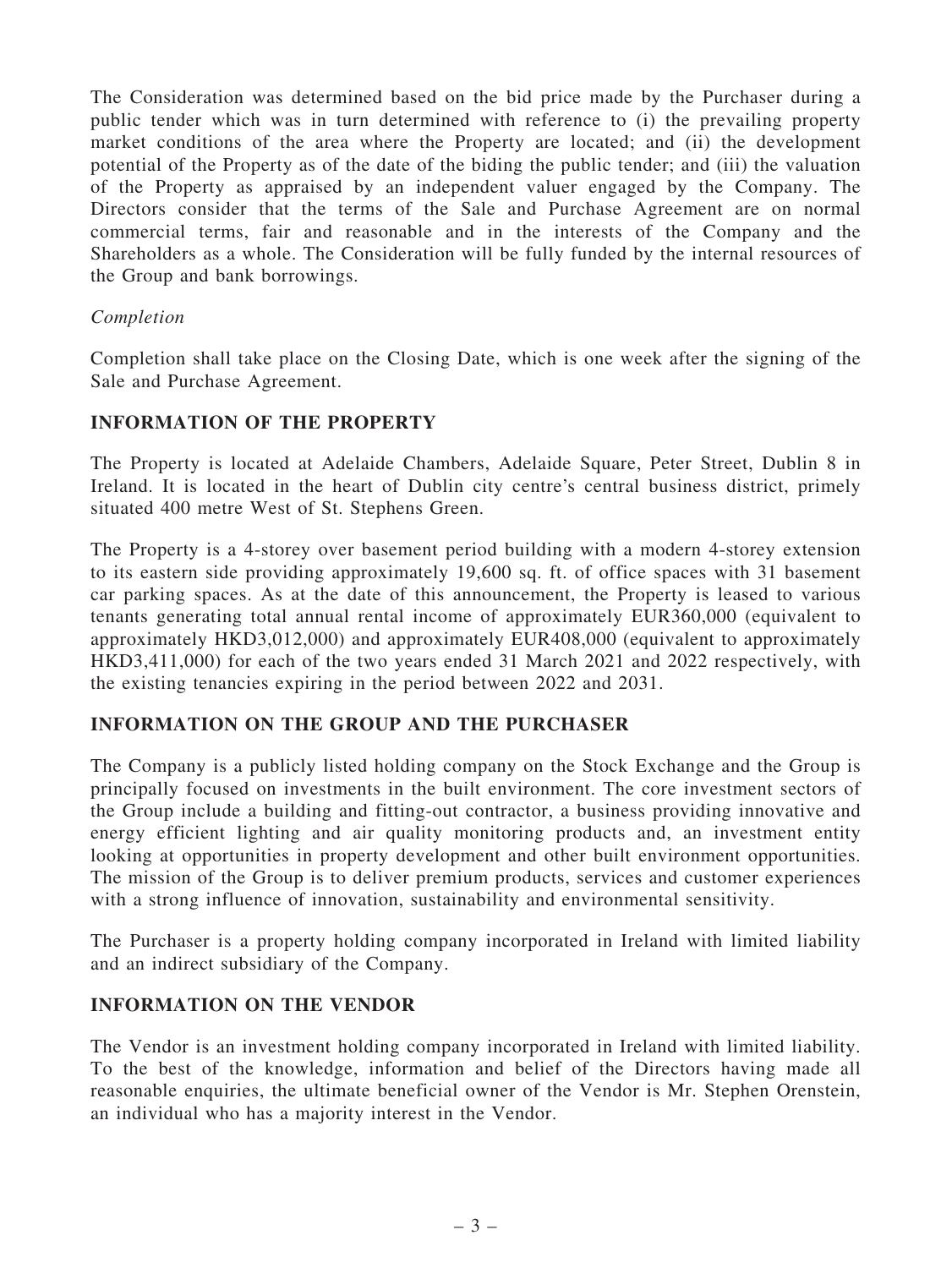The Consideration was determined based on the bid price made by the Purchaser during a public tender which was in turn determined with reference to (i) the prevailing property market conditions of the area where the Property are located; and (ii) the development potential of the Property as of the date of the biding the public tender; and (iii) the valuation of the Property as appraised by an independent valuer engaged by the Company. The Directors consider that the terms of the Sale and Purchase Agreement are on normal commercial terms, fair and reasonable and in the interests of the Company and the Shareholders as a whole. The Consideration will be fully funded by the internal resources of the Group and bank borrowings.

#### Completion

Completion shall take place on the Closing Date, which is one week after the signing of the Sale and Purchase Agreement.

#### INFORMATION OF THE PROPERTY

The Property is located at Adelaide Chambers, Adelaide Square, Peter Street, Dublin 8 in Ireland. It is located in the heart of Dublin city centre's central business district, primely situated 400 metre West of St. Stephens Green.

The Property is a 4-storey over basement period building with a modern 4-storey extension to its eastern side providing approximately 19,600 sq. ft. of office spaces with 31 basement car parking spaces. As at the date of this announcement, the Property is leased to various tenants generating total annual rental income of approximately EUR360,000 (equivalent to approximately HKD3,012,000) and approximately EUR408,000 (equivalent to approximately HKD3,411,000) for each of the two years ended 31 March 2021 and 2022 respectively, with the existing tenancies expiring in the period between 2022 and 2031.

#### INFORMATION ON THE GROUP AND THE PURCHASER

The Company is a publicly listed holding company on the Stock Exchange and the Group is principally focused on investments in the built environment. The core investment sectors of the Group include a building and fitting-out contractor, a business providing innovative and energy efficient lighting and air quality monitoring products and, an investment entity looking at opportunities in property development and other built environment opportunities. The mission of the Group is to deliver premium products, services and customer experiences with a strong influence of innovation, sustainability and environmental sensitivity.

The Purchaser is a property holding company incorporated in Ireland with limited liability and an indirect subsidiary of the Company.

#### INFORMATION ON THE VENDOR

The Vendor is an investment holding company incorporated in Ireland with limited liability. To the best of the knowledge, information and belief of the Directors having made all reasonable enquiries, the ultimate beneficial owner of the Vendor is Mr. Stephen Orenstein, an individual who has a majority interest in the Vendor.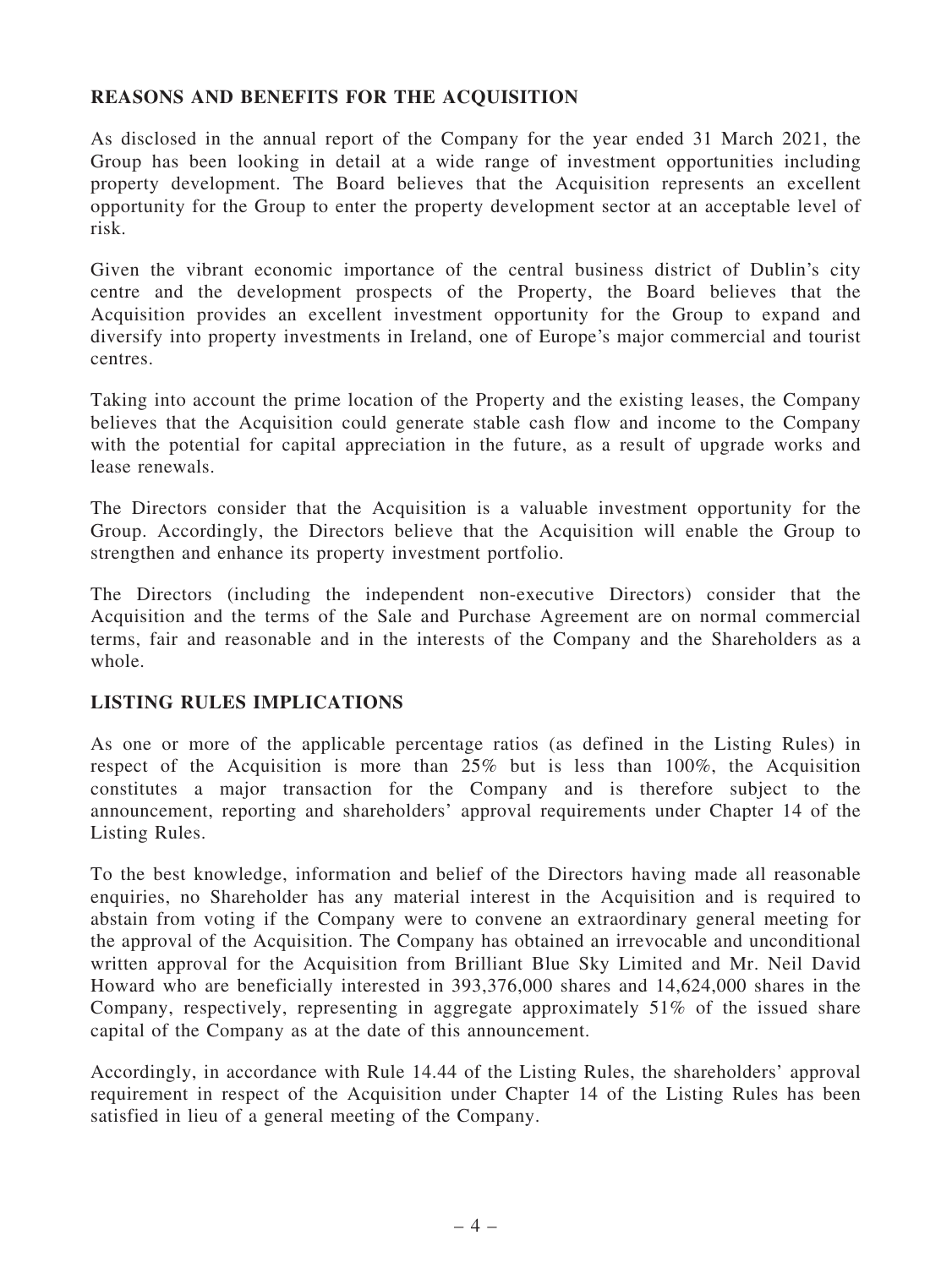#### REASONS AND BENEFITS FOR THE ACQUISITION

As disclosed in the annual report of the Company for the year ended 31 March 2021, the Group has been looking in detail at a wide range of investment opportunities including property development. The Board believes that the Acquisition represents an excellent opportunity for the Group to enter the property development sector at an acceptable level of risk.

Given the vibrant economic importance of the central business district of Dublin's city centre and the development prospects of the Property, the Board believes that the Acquisition provides an excellent investment opportunity for the Group to expand and diversify into property investments in Ireland, one of Europe's major commercial and tourist centres.

Taking into account the prime location of the Property and the existing leases, the Company believes that the Acquisition could generate stable cash flow and income to the Company with the potential for capital appreciation in the future, as a result of upgrade works and lease renewals.

The Directors consider that the Acquisition is a valuable investment opportunity for the Group. Accordingly, the Directors believe that the Acquisition will enable the Group to strengthen and enhance its property investment portfolio.

The Directors (including the independent non-executive Directors) consider that the Acquisition and the terms of the Sale and Purchase Agreement are on normal commercial terms, fair and reasonable and in the interests of the Company and the Shareholders as a whole.

#### LISTING RULES IMPLICATIONS

As one or more of the applicable percentage ratios (as defined in the Listing Rules) in respect of the Acquisition is more than 25% but is less than 100%, the Acquisition constitutes a major transaction for the Company and is therefore subject to the announcement, reporting and shareholders' approval requirements under Chapter 14 of the Listing Rules.

To the best knowledge, information and belief of the Directors having made all reasonable enquiries, no Shareholder has any material interest in the Acquisition and is required to abstain from voting if the Company were to convene an extraordinary general meeting for the approval of the Acquisition. The Company has obtained an irrevocable and unconditional written approval for the Acquisition from Brilliant Blue Sky Limited and Mr. Neil David Howard who are beneficially interested in 393,376,000 shares and 14,624,000 shares in the Company, respectively, representing in aggregate approximately 51% of the issued share capital of the Company as at the date of this announcement.

Accordingly, in accordance with Rule 14.44 of the Listing Rules, the shareholders' approval requirement in respect of the Acquisition under Chapter 14 of the Listing Rules has been satisfied in lieu of a general meeting of the Company.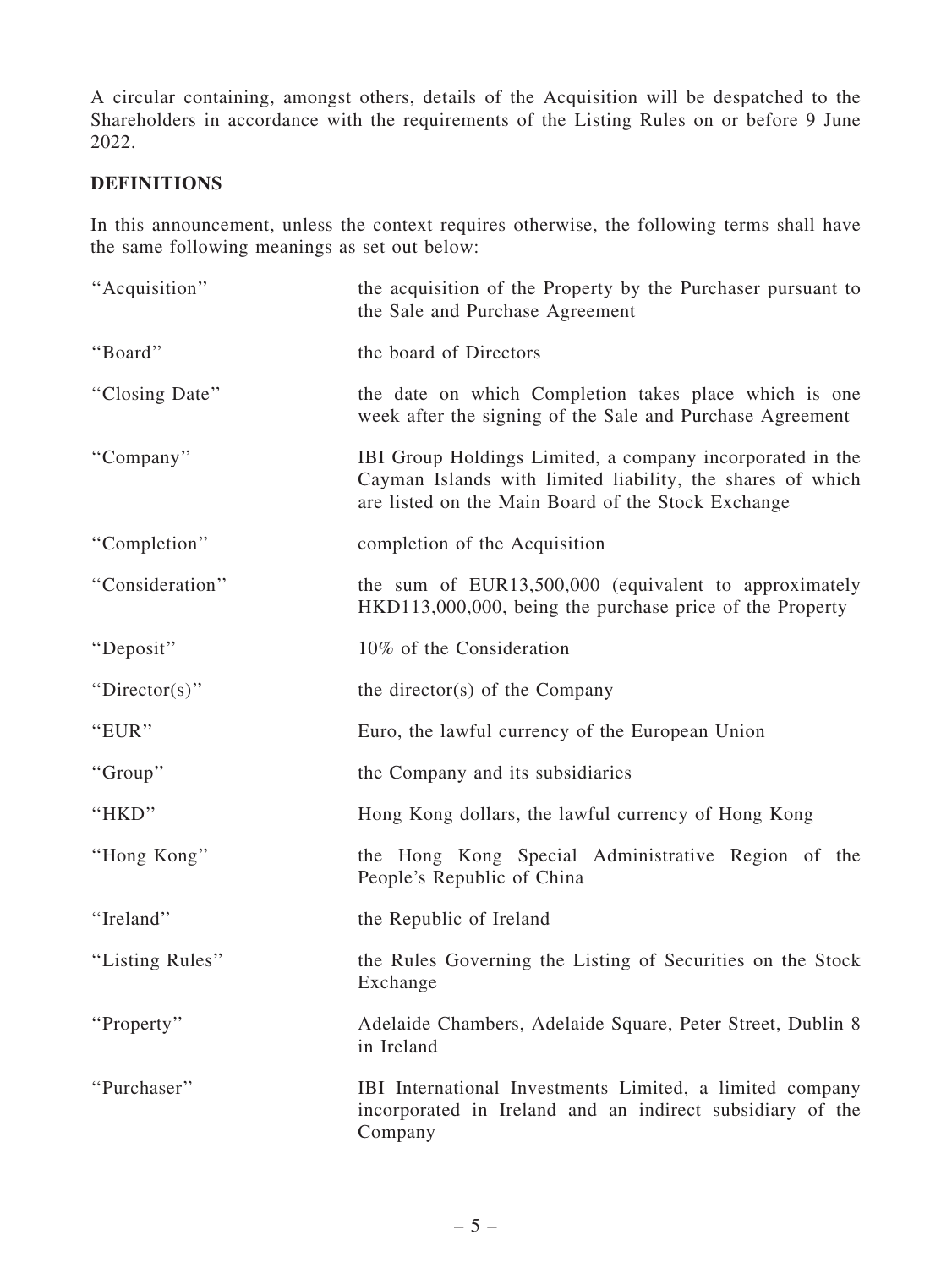A circular containing, amongst others, details of the Acquisition will be despatched to the Shareholders in accordance with the requirements of the Listing Rules on or before 9 June 2022.

#### DEFINITIONS

In this announcement, unless the context requires otherwise, the following terms shall have the same following meanings as set out below:

| "Acquisition"   | the acquisition of the Property by the Purchaser pursuant to<br>the Sale and Purchase Agreement                                                                               |
|-----------------|-------------------------------------------------------------------------------------------------------------------------------------------------------------------------------|
| "Board"         | the board of Directors                                                                                                                                                        |
| "Closing Date"  | the date on which Completion takes place which is one<br>week after the signing of the Sale and Purchase Agreement                                                            |
| "Company"       | IBI Group Holdings Limited, a company incorporated in the<br>Cayman Islands with limited liability, the shares of which<br>are listed on the Main Board of the Stock Exchange |
| "Completion"    | completion of the Acquisition                                                                                                                                                 |
| "Consideration" | the sum of EUR13,500,000 (equivalent to approximately<br>HKD113,000,000, being the purchase price of the Property                                                             |
| "Deposit"       | 10% of the Consideration                                                                                                                                                      |
| "Director(s)"   | the director(s) of the Company                                                                                                                                                |
| "EUR"           | Euro, the lawful currency of the European Union                                                                                                                               |
| "Group"         | the Company and its subsidiaries                                                                                                                                              |
| "HKD"           | Hong Kong dollars, the lawful currency of Hong Kong                                                                                                                           |
| "Hong Kong"     | the Hong Kong Special Administrative Region of the<br>People's Republic of China                                                                                              |
| "Ireland"       | the Republic of Ireland                                                                                                                                                       |
| "Listing Rules" | the Rules Governing the Listing of Securities on the Stock<br>Exchange                                                                                                        |
| "Property"      | Adelaide Chambers, Adelaide Square, Peter Street, Dublin 8<br>in Ireland                                                                                                      |
| "Purchaser"     | IBI International Investments Limited, a limited company<br>incorporated in Ireland and an indirect subsidiary of the<br>Company                                              |